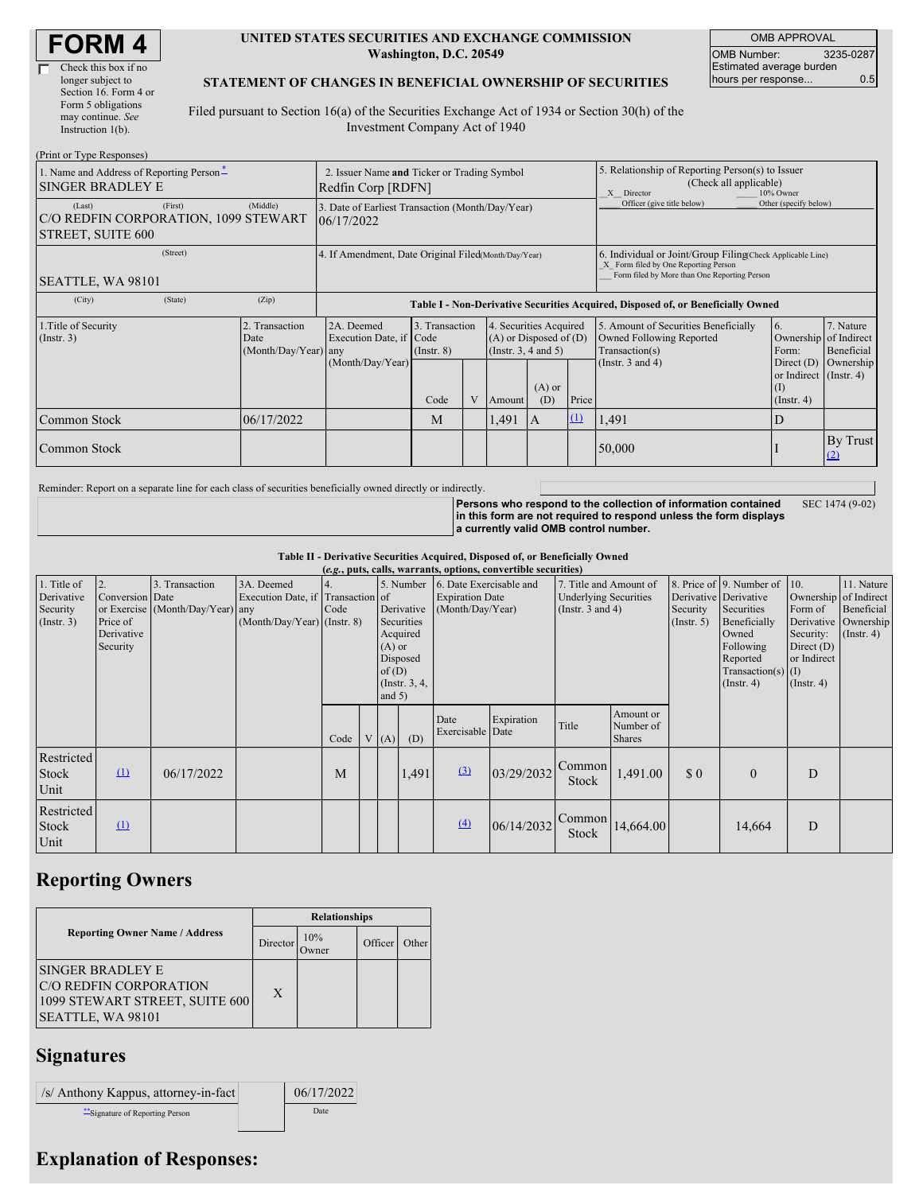| Check this box if no  |
|-----------------------|
| longer subject to     |
| Section 16. Form 4 or |
| Form 5 obligations    |
| may continue. See     |
| Instruction $1(b)$ .  |
|                       |

#### **UNITED STATES SECURITIES AND EXCHANGE COMMISSION Washington, D.C. 20549**

OMB APPROVAL OMB Number: 3235-0287 Estimated average burden hours per response... 6.5

#### **STATEMENT OF CHANGES IN BENEFICIAL OWNERSHIP OF SECURITIES**

Filed pursuant to Section 16(a) of the Securities Exchange Act of 1934 or Section 30(h) of the Investment Company Act of 1940

| (Print or Type Responses)                                                      |                                                |                                                                                  |                                   |  |                                                                              |                 |                                                                                                                                                    |                                                                                                       |                                                                            |                         |  |
|--------------------------------------------------------------------------------|------------------------------------------------|----------------------------------------------------------------------------------|-----------------------------------|--|------------------------------------------------------------------------------|-----------------|----------------------------------------------------------------------------------------------------------------------------------------------------|-------------------------------------------------------------------------------------------------------|----------------------------------------------------------------------------|-------------------------|--|
| 1. Name and Address of Reporting Person-<br><b>SINGER BRADLEY E</b>            |                                                | 2. Issuer Name and Ticker or Trading Symbol<br>Redfin Corp [RDFN]                |                                   |  |                                                                              |                 |                                                                                                                                                    | 5. Relationship of Reporting Person(s) to Issuer<br>(Check all applicable)<br>10% Owner<br>X Director |                                                                            |                         |  |
| (First)<br>(Last)<br>C/O REDFIN CORPORATION, 1099 STEWART<br>STREET, SUITE 600 | (Middle)                                       | 3. Date of Earliest Transaction (Month/Day/Year)<br>06/17/2022                   |                                   |  |                                                                              |                 |                                                                                                                                                    | Officer (give title below)                                                                            | Other (specify below)                                                      |                         |  |
| (Street)<br>SEATTLE, WA 98101                                                  |                                                | 4. If Amendment, Date Original Filed(Month/Day/Year)                             |                                   |  |                                                                              |                 | 6. Individual or Joint/Group Filing Check Applicable Line)<br>X Form filed by One Reporting Person<br>Form filed by More than One Reporting Person |                                                                                                       |                                                                            |                         |  |
| (State)<br>(City)                                                              | (Zip)                                          | Table I - Non-Derivative Securities Acquired, Disposed of, or Beneficially Owned |                                   |  |                                                                              |                 |                                                                                                                                                    |                                                                                                       |                                                                            |                         |  |
| 1. Title of Security<br>(Insert. 3)                                            | 2. Transaction<br>Date<br>(Month/Day/Year) any | 2A. Deemed<br>Execution Date, if Code                                            | 3. Transaction<br>$($ Instr. $8)$ |  | 4. Securities Acquired<br>$(A)$ or Disposed of $(D)$<br>(Insert. 3, 4 and 5) |                 |                                                                                                                                                    | 5. Amount of Securities Beneficially<br>Owned Following Reported<br>Transaction(s)                    | 6.<br>Ownership of Indirect<br>Form:                                       | 7. Nature<br>Beneficial |  |
|                                                                                |                                                | (Month/Day/Year)                                                                 | Code                              |  | Amount                                                                       | $(A)$ or<br>(D) | Price                                                                                                                                              | (Instr. $3$ and $4$ )                                                                                 | Direct $(D)$<br>or Indirect (Instr. 4)<br>$($ $\Gamma$<br>$($ Instr. 4 $)$ | Ownership               |  |
| Common Stock                                                                   | 06/17/2022                                     |                                                                                  | M                                 |  | 1,491                                                                        | 1A              | $\Omega$                                                                                                                                           | 1,491                                                                                                 | D                                                                          |                         |  |
| Common Stock                                                                   |                                                |                                                                                  |                                   |  |                                                                              |                 |                                                                                                                                                    | 50,000                                                                                                |                                                                            | By Trust<br>(2)         |  |

Reminder: Report on a separate line for each class of securities beneficially owned directly or indirectly.

**Persons who respond to the collection of information contained in this form are not required to respond unless the form displays a currently valid OMB control number.** SEC 1474 (9-02)

**Table II - Derivative Securities Acquired, Disposed of, or Beneficially Owned**

|                                                      | (e.g., puts, calls, warrants, options, convertible securities) |                                                    |                                                                                  |      |  |                                                                                                                 |       |                                                                       |            |                                                                                 |                                         |                                                  |                                                                                                                                          |                                                                                                  |                                                                   |
|------------------------------------------------------|----------------------------------------------------------------|----------------------------------------------------|----------------------------------------------------------------------------------|------|--|-----------------------------------------------------------------------------------------------------------------|-------|-----------------------------------------------------------------------|------------|---------------------------------------------------------------------------------|-----------------------------------------|--------------------------------------------------|------------------------------------------------------------------------------------------------------------------------------------------|--------------------------------------------------------------------------------------------------|-------------------------------------------------------------------|
| 1. Title of<br>Derivative<br>Security<br>(Insert. 3) | Conversion Date<br>Price of<br>Derivative<br>Security          | 3. Transaction<br>or Exercise (Month/Day/Year) any | 3A. Deemed<br>Execution Date, if Transaction of<br>$(Month/Day/Year)$ (Instr. 8) | Code |  | 5. Number<br>Derivative<br>Securities<br>Acquired<br>$(A)$ or<br>Disposed<br>of(D)<br>(Instr. 3, 4,<br>and $5)$ |       | 6. Date Exercisable and<br><b>Expiration Date</b><br>(Month/Day/Year) |            | 7. Title and Amount of<br><b>Underlying Securities</b><br>(Instr. $3$ and $4$ ) |                                         | Derivative Derivative<br>Security<br>(Insert. 5) | 8. Price of 9. Number of 10.<br>Securities<br>Beneficially<br>Owned<br>Following<br>Reported<br>Transaction(s) $(I)$<br>$($ Instr. 4 $)$ | Ownership of Indirect<br>Form of<br>Security:<br>Direct $(D)$<br>or Indirect<br>$($ Instr. 4 $)$ | 11. Nature<br>Beneficial<br>Derivative Ownership<br>$($ Instr. 4) |
|                                                      |                                                                |                                                    |                                                                                  | Code |  | V(A)                                                                                                            | (D)   | Date<br>Exercisable Date                                              | Expiration | Title                                                                           | Amount or<br>Number of<br><b>Shares</b> |                                                  |                                                                                                                                          |                                                                                                  |                                                                   |
| Restricted<br><b>Stock</b><br>Unit                   | $\Omega$                                                       | 06/17/2022                                         |                                                                                  | M    |  |                                                                                                                 | 1,491 | (3)                                                                   | 03/29/2032 | Common<br>Stock                                                                 | 1,491.00                                | \$0                                              | $\theta$                                                                                                                                 | D                                                                                                |                                                                   |
| Restricted<br>Stock<br>Unit                          | $\Omega$                                                       |                                                    |                                                                                  |      |  |                                                                                                                 |       | (4)                                                                   | 06/14/2032 | Common<br>Stock                                                                 | 14,664.00                               |                                                  | 14,664                                                                                                                                   | D                                                                                                |                                                                   |

### **Reporting Owners**

|                                                                                                    | <b>Relationships</b> |              |         |       |  |  |  |  |
|----------------------------------------------------------------------------------------------------|----------------------|--------------|---------|-------|--|--|--|--|
| <b>Reporting Owner Name / Address</b>                                                              | Director             | 10%<br>)wner | Officer | Other |  |  |  |  |
| ISINGER BRADLEY E<br>C/O REDFIN CORPORATION<br>1099 STEWART STREET, SUITE 600<br>SEATTLE, WA 98101 | X                    |              |         |       |  |  |  |  |

## **Signatures**

| /s/ Anthony Kappus, attorney-in-fact | 06/17/2022 |
|--------------------------------------|------------|
| "Signature of Reporting Person       | Date       |

# **Explanation of Responses:**